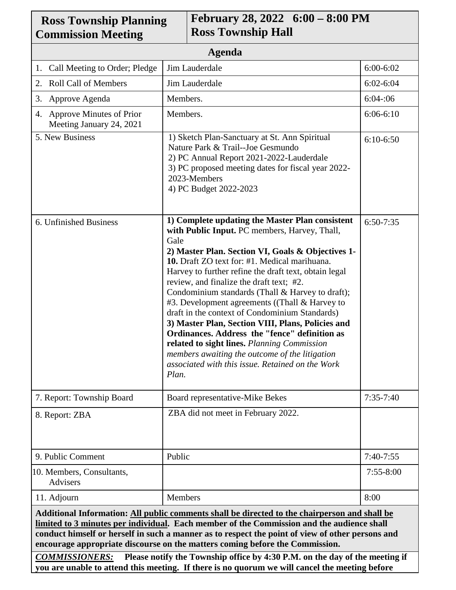| <b>Ross Township Planning</b><br><b>Commission Meeting</b>                                                                                                                                                                                                                                                                                                                     |                                                                                                                                                                                                                                                                                                                                                                                                                                                                                                                                                                                                                                                                                                                                                 | February 28, 2022 6:00 - 8:00 PM<br><b>Ross Township Hall</b> |               |
|--------------------------------------------------------------------------------------------------------------------------------------------------------------------------------------------------------------------------------------------------------------------------------------------------------------------------------------------------------------------------------|-------------------------------------------------------------------------------------------------------------------------------------------------------------------------------------------------------------------------------------------------------------------------------------------------------------------------------------------------------------------------------------------------------------------------------------------------------------------------------------------------------------------------------------------------------------------------------------------------------------------------------------------------------------------------------------------------------------------------------------------------|---------------------------------------------------------------|---------------|
| Agenda                                                                                                                                                                                                                                                                                                                                                                         |                                                                                                                                                                                                                                                                                                                                                                                                                                                                                                                                                                                                                                                                                                                                                 |                                                               |               |
| 1. Call Meeting to Order; Pledge                                                                                                                                                                                                                                                                                                                                               | Jim Lauderdale                                                                                                                                                                                                                                                                                                                                                                                                                                                                                                                                                                                                                                                                                                                                  |                                                               | $6:00 - 6:02$ |
| <b>Roll Call of Members</b><br>2.                                                                                                                                                                                                                                                                                                                                              | Jim Lauderdale                                                                                                                                                                                                                                                                                                                                                                                                                                                                                                                                                                                                                                                                                                                                  |                                                               | $6:02 - 6:04$ |
| Approve Agenda<br>3.                                                                                                                                                                                                                                                                                                                                                           | Members.                                                                                                                                                                                                                                                                                                                                                                                                                                                                                                                                                                                                                                                                                                                                        |                                                               | 6:04:06       |
| 4. Approve Minutes of Prior<br>Meeting January 24, 2021                                                                                                                                                                                                                                                                                                                        | Members.                                                                                                                                                                                                                                                                                                                                                                                                                                                                                                                                                                                                                                                                                                                                        |                                                               | $6:06-6:10$   |
| 5. New Business                                                                                                                                                                                                                                                                                                                                                                | 1) Sketch Plan-Sanctuary at St. Ann Spiritual<br>Nature Park & Trail--Joe Gesmundo<br>2) PC Annual Report 2021-2022-Lauderdale<br>3) PC proposed meeting dates for fiscal year 2022-<br>2023-Members<br>4) PC Budget 2022-2023                                                                                                                                                                                                                                                                                                                                                                                                                                                                                                                  |                                                               | $6:10-6:50$   |
| 6. Unfinished Business                                                                                                                                                                                                                                                                                                                                                         | 1) Complete updating the Master Plan consistent<br>with Public Input. PC members, Harvey, Thall,<br>Gale<br>2) Master Plan. Section VI, Goals & Objectives 1-<br>10. Draft ZO text for: #1. Medical marihuana.<br>Harvey to further refine the draft text, obtain legal<br>review, and finalize the draft text; #2.<br>Condominium standards (Thall & Harvey to draft);<br>#3. Development agreements ((Thall & Harvey to<br>draft in the context of Condominium Standards)<br>3) Master Plan, Section VIII, Plans, Policies and<br>Ordinances. Address the "fence" definition as<br>related to sight lines. Planning Commission<br>members awaiting the outcome of the litigation<br>associated with this issue. Retained on the Work<br>Plan. |                                                               | $6:50-7:35$   |
| 7. Report: Township Board                                                                                                                                                                                                                                                                                                                                                      |                                                                                                                                                                                                                                                                                                                                                                                                                                                                                                                                                                                                                                                                                                                                                 | Board representative-Mike Bekes                               | $7:35-7:40$   |
| 8. Report: ZBA                                                                                                                                                                                                                                                                                                                                                                 | ZBA did not meet in February 2022.                                                                                                                                                                                                                                                                                                                                                                                                                                                                                                                                                                                                                                                                                                              |                                                               |               |
| 9. Public Comment                                                                                                                                                                                                                                                                                                                                                              | Public                                                                                                                                                                                                                                                                                                                                                                                                                                                                                                                                                                                                                                                                                                                                          |                                                               | $7:40-7:55$   |
| 10. Members, Consultants,<br>Advisers                                                                                                                                                                                                                                                                                                                                          |                                                                                                                                                                                                                                                                                                                                                                                                                                                                                                                                                                                                                                                                                                                                                 |                                                               | $7:55 - 8:00$ |
| 11. Adjourn                                                                                                                                                                                                                                                                                                                                                                    | Members                                                                                                                                                                                                                                                                                                                                                                                                                                                                                                                                                                                                                                                                                                                                         |                                                               | 8:00          |
| Additional Information: All public comments shall be directed to the chairperson and shall be<br>limited to 3 minutes per individual. Each member of the Commission and the audience shall<br>conduct himself or herself in such a manner as to respect the point of view of other persons and<br>encourage appropriate discourse on the matters coming before the Commission. |                                                                                                                                                                                                                                                                                                                                                                                                                                                                                                                                                                                                                                                                                                                                                 |                                                               |               |

٦

 $\Gamma$ 

*COMMISSIONERS:* **Please notify the Township office by 4:30 P.M. on the day of the meeting if you are unable to attend this meeting. If there is no quorum we will cancel the meeting before**